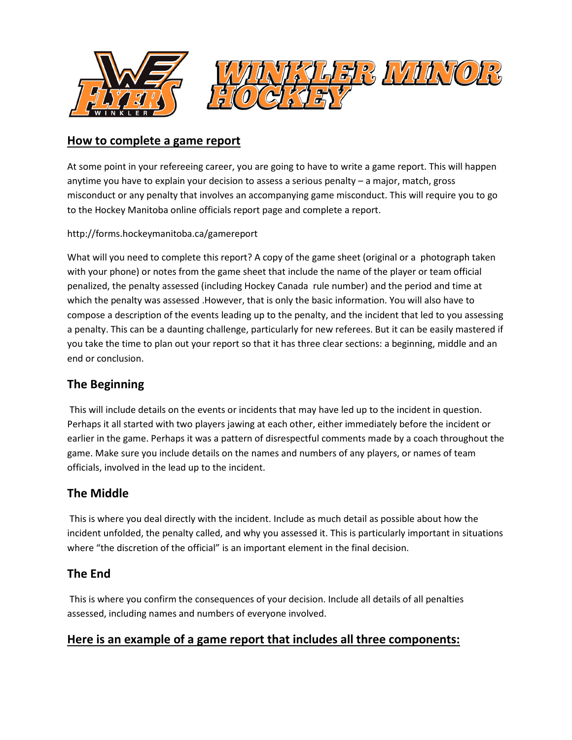

#### **How to complete a game report**

At some point in your refereeing career, you are going to have to write a game report. This will happen anytime you have to explain your decision to assess a serious penalty – a major, match, gross misconduct or any penalty that involves an accompanying game misconduct. This will require you to go to the Hockey Manitoba online officials report page and complete a report.

#### http://forms.hockeymanitoba.ca/gamereport

What will you need to complete this report? A copy of the game sheet (original or a photograph taken with your phone) or notes from the game sheet that include the name of the player or team official penalized, the penalty assessed (including Hockey Canada rule number) and the period and time at which the penalty was assessed .However, that is only the basic information. You will also have to compose a description of the events leading up to the penalty, and the incident that led to you assessing a penalty. This can be a daunting challenge, particularly for new referees. But it can be easily mastered if you take the time to plan out your report so that it has three clear sections: a beginning, middle and an end or conclusion.

#### **The Beginning**

 This will include details on the events or incidents that may have led up to the incident in question. Perhaps it all started with two players jawing at each other, either immediately before the incident or earlier in the game. Perhaps it was a pattern of disrespectful comments made by a coach throughout the game. Make sure you include details on the names and numbers of any players, or names of team officials, involved in the lead up to the incident.

# **The Middle**

 This is where you deal directly with the incident. Include as much detail as possible about how the incident unfolded, the penalty called, and why you assessed it. This is particularly important in situations where "the discretion of the official" is an important element in the final decision.

#### **The End**

 This is where you confirm the consequences of your decision. Include all details of all penalties assessed, including names and numbers of everyone involved.

#### **Here is an example of a game report that includes all three components:**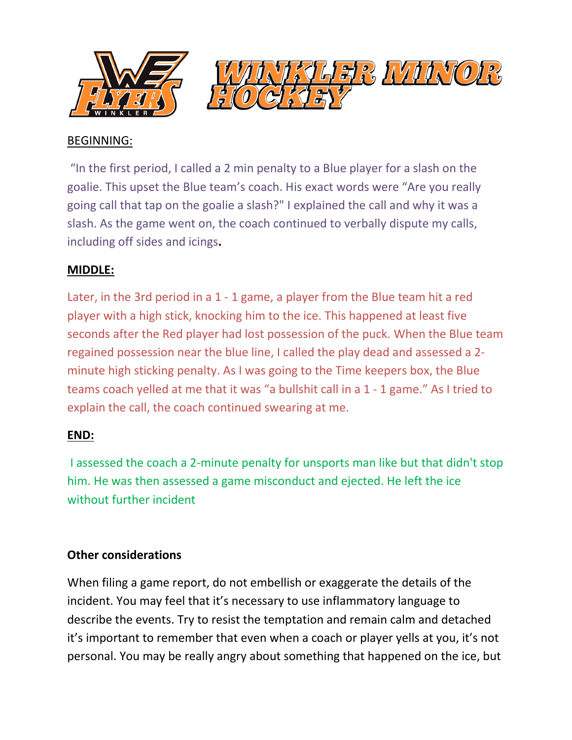

# BEGINNING:

 "In the first period, I called a 2 min penalty to a Blue player for a slash on the goalie. This upset the Blue team's coach. His exact words were "Are you really going call that tap on the goalie a slash?" I explained the call and why it was a slash. As the game went on, the coach continued to verbally dispute my calls, including off sides and icings**.** 

### **MIDDLE:**

Later, in the 3rd period in a 1 - 1 game, a player from the Blue team hit a red player with a high stick, knocking him to the ice. This happened at least five seconds after the Red player had lost possession of the puck. When the Blue team regained possession near the blue line, I called the play dead and assessed a 2 minute high sticking penalty. As I was going to the Time keepers box, the Blue teams coach yelled at me that it was "a bullshit call in a 1 - 1 game." As I tried to explain the call, the coach continued swearing at me.

# **END:**

I assessed the coach a 2-minute penalty for unsports man like but that didn't stop him. He was then assessed a game misconduct and ejected. He left the ice without further incident

# **Other considerations**

When filing a game report, do not embellish or exaggerate the details of the incident. You may feel that it's necessary to use inflammatory language to describe the events. Try to resist the temptation and remain calm and detached it's important to remember that even when a coach or player yells at you, it's not personal. You may be really angry about something that happened on the ice, but